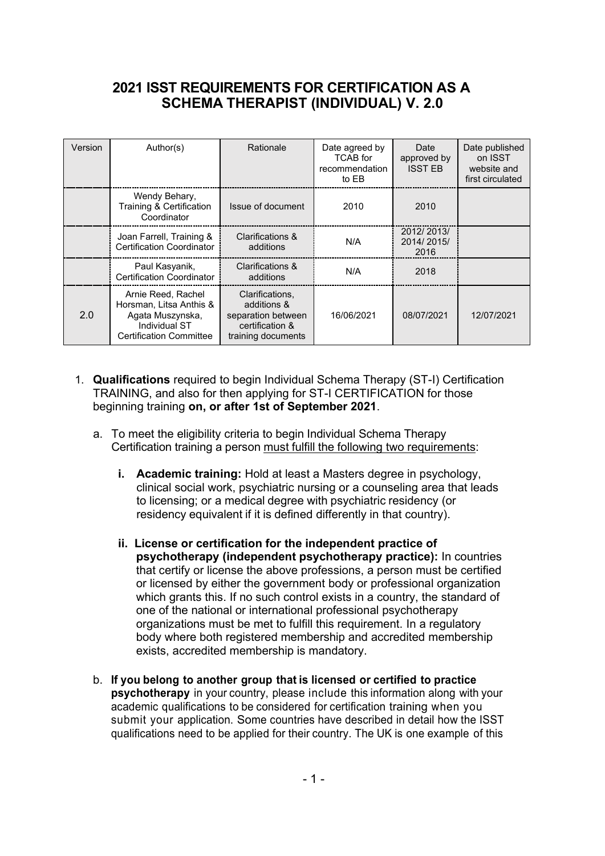#### **2021 ISST REQUIREMENTS FOR CERTIFICATION AS A SCHEMA THERAPIST (INDIVIDUAL) V. 2.0**

| Version | Author(s)                                                                                                            | Rationale                                                                                     | Date agreed by<br><b>TCAB</b> for<br>recommendation<br>to EB | Date<br>approved by<br><b>ISST FB</b> | Date published<br>on ISST<br>website and<br>first circulated |
|---------|----------------------------------------------------------------------------------------------------------------------|-----------------------------------------------------------------------------------------------|--------------------------------------------------------------|---------------------------------------|--------------------------------------------------------------|
|         | Wendy Behary,<br>Training & Certification<br>Coordinator                                                             | Issue of document                                                                             | 2010                                                         | 2010                                  |                                                              |
|         | Joan Farrell, Training &<br><b>Certification Coordinator</b>                                                         | Clarifications &<br>additions                                                                 | N/A                                                          | 2012/2013/<br>2014/2015/<br>2016      |                                                              |
|         | Paul Kasyanik,<br><b>Certification Coordinator</b>                                                                   | Clarifications &<br>additions                                                                 | N/A                                                          | 2018                                  |                                                              |
| 2.0     | Arnie Reed, Rachel<br>Horsman, Litsa Anthis &<br>Agata Muszynska,<br>Individual ST<br><b>Certification Committee</b> | Clarifications.<br>additions &<br>separation between<br>certification &<br>training documents | 16/06/2021                                                   | 08/07/2021                            | 12/07/2021                                                   |

- 1. **Qualifications** required to begin Individual Schema Therapy (ST-I) Certification TRAINING, and also for then applying for ST-I CERTIFICATION for those beginning training **on, or after 1st of September 2021**.
	- a. To meet the eligibility criteria to begin Individual Schema Therapy Certification training a person must fulfill the following two requirements:
		- **i. Academic training:** Hold at least a Masters degree in psychology, clinical social work, psychiatric nursing or a counseling area that leads to licensing; or a medical degree with psychiatric residency (or residency equivalent if it is defined differently in that country).
		- **ii. License or certification for the independent practice of psychotherapy (independent psychotherapy practice):** In countries that certify or license the above professions, a person must be certified or licensed by either the government body or professional organization which grants this. If no such control exists in a country, the standard of one of the national or international professional psychotherapy organizations must be met to fulfill this requirement. In a regulatory body where both registered membership and accredited membership exists, accredited membership is mandatory.
	- b. **If you belong to another group that is licensed or certified to practice psychotherapy** in your country, please include this information along with your academic qualifications to be considered for certification training when you submit your application. Some countries have described in detail how the ISST qualifications need to be applied for their country. The UK is one example of this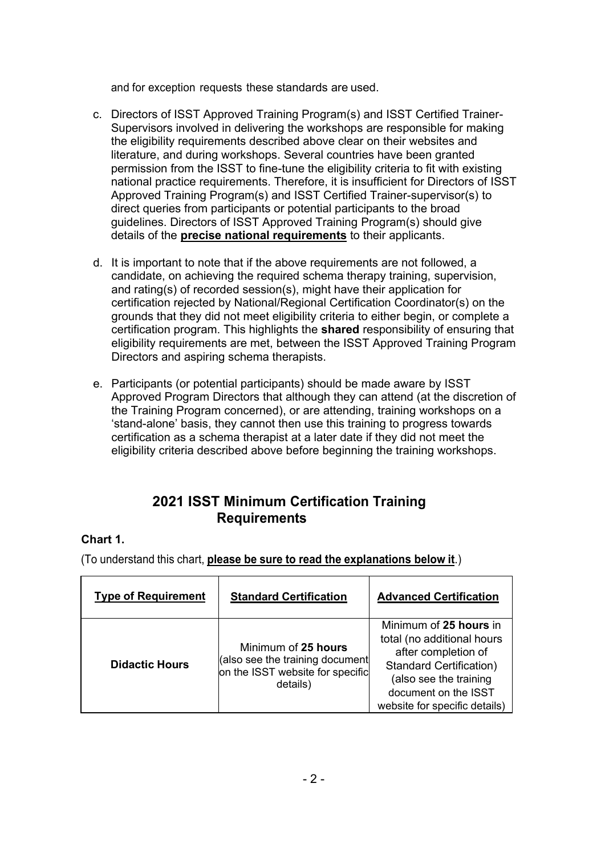and for exception requests these standards are used.

- c. Directors of ISST Approved Training Program(s) and ISST Certified Trainer-Supervisors involved in delivering the workshops are responsible for making the eligibility requirements described above clear on their websites and literature, and during workshops. Several countries have been granted permission from the ISST to fine-tune the eligibility criteria to fit with existing national practice requirements. Therefore, it is insufficient for Directors of ISST Approved Training Program(s) and ISST Certified Trainer-supervisor(s) to direct queries from participants or potential participants to the broad guidelines. Directors of ISST Approved Training Program(s) should give details of the **precise national requirements** to their applicants.
- d. It is important to note that if the above requirements are not followed, a candidate, on achieving the required schema therapy training, supervision, and rating(s) of recorded session(s), might have their application for certification rejected by National/Regional Certification Coordinator(s) on the grounds that they did not meet eligibility criteria to either begin, or complete a certification program. This highlights the **shared** responsibility of ensuring that eligibility requirements are met, between the ISST Approved Training Program Directors and aspiring schema therapists.
- e. Participants (or potential participants) should be made aware by ISST Approved Program Directors that although they can attend (at the discretion of the Training Program concerned), or are attending, training workshops on a 'stand-alone' basis, they cannot then use this training to progress towards certification as a schema therapist at a later date if they did not meet the eligibility criteria described above before beginning the training workshops.

### **2021 ISST Minimum Certification Training Requirements**

#### **Chart 1.**

(To understand this chart, **please be sure to read the explanations below it**.)

| <b>Type of Requirement</b> | <b>Standard Certification</b>                                                                          | <b>Advanced Certification</b>                                                                                                                                                                    |
|----------------------------|--------------------------------------------------------------------------------------------------------|--------------------------------------------------------------------------------------------------------------------------------------------------------------------------------------------------|
| <b>Didactic Hours</b>      | Minimum of 25 hours<br>(also see the training document<br>on the ISST website for specific<br>details) | Minimum of 25 hours in<br>total (no additional hours<br>after completion of<br><b>Standard Certification)</b><br>(also see the training<br>document on the ISST<br>website for specific details) |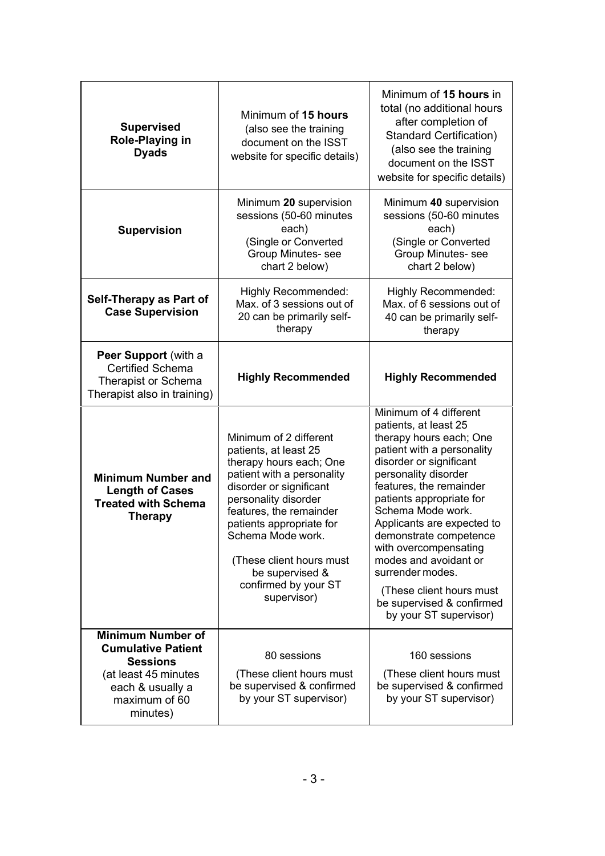| <b>Supervised</b><br>Role-Playing in<br><b>Dyads</b>                                                                                                                                                                                                | Minimum of 15 hours<br>(also see the training<br>document on the ISST<br>website for specific details)                                                                                                                                                                                                                        | Minimum of 15 hours in<br>total (no additional hours<br>after completion of<br><b>Standard Certification)</b><br>(also see the training<br>document on the ISST<br>website for specific details)                                                                                                                                                                                                                                                         |
|-----------------------------------------------------------------------------------------------------------------------------------------------------------------------------------------------------------------------------------------------------|-------------------------------------------------------------------------------------------------------------------------------------------------------------------------------------------------------------------------------------------------------------------------------------------------------------------------------|----------------------------------------------------------------------------------------------------------------------------------------------------------------------------------------------------------------------------------------------------------------------------------------------------------------------------------------------------------------------------------------------------------------------------------------------------------|
| <b>Supervision</b>                                                                                                                                                                                                                                  | Minimum 20 supervision<br>sessions (50-60 minutes<br>each)<br>(Single or Converted<br>Group Minutes- see<br>chart 2 below)                                                                                                                                                                                                    | Minimum 40 supervision<br>sessions (50-60 minutes<br>each)<br>(Single or Converted<br>Group Minutes- see<br>chart 2 below)                                                                                                                                                                                                                                                                                                                               |
| Self-Therapy as Part of<br><b>Case Supervision</b>                                                                                                                                                                                                  | <b>Highly Recommended:</b><br>Max. of 3 sessions out of<br>20 can be primarily self-<br>therapy                                                                                                                                                                                                                               | <b>Highly Recommended:</b><br>Max, of 6 sessions out of<br>40 can be primarily self-<br>therapy                                                                                                                                                                                                                                                                                                                                                          |
| Peer Support (with a<br><b>Certified Schema</b><br>Therapist or Schema<br>Therapist also in training)                                                                                                                                               | <b>Highly Recommended</b>                                                                                                                                                                                                                                                                                                     | <b>Highly Recommended</b>                                                                                                                                                                                                                                                                                                                                                                                                                                |
| <b>Minimum Number and</b><br><b>Length of Cases</b><br><b>Treated with Schema</b><br><b>Therapy</b>                                                                                                                                                 | Minimum of 2 different<br>patients, at least 25<br>therapy hours each; One<br>patient with a personality<br>disorder or significant<br>personality disorder<br>features, the remainder<br>patients appropriate for<br>Schema Mode work.<br>(These client hours must<br>be supervised &<br>confirmed by your ST<br>supervisor) | Minimum of 4 different<br>patients, at least 25<br>therapy hours each; One<br>patient with a personality<br>disorder or significant<br>personality disorder<br>features, the remainder<br>patients appropriate for<br>Schema Mode work.<br>Applicants are expected to<br>demonstrate competence<br>with overcompensating<br>modes and avoidant or<br>surrender modes.<br>(These client hours must<br>be supervised & confirmed<br>by your ST supervisor) |
| <b>Minimum Number of</b><br><b>Cumulative Patient</b><br>80 sessions<br><b>Sessions</b><br>(These client hours must<br>(at least 45 minutes<br>be supervised & confirmed<br>each & usually a<br>by your ST supervisor)<br>maximum of 60<br>minutes) |                                                                                                                                                                                                                                                                                                                               | 160 sessions<br>(These client hours must<br>be supervised & confirmed<br>by your ST supervisor)                                                                                                                                                                                                                                                                                                                                                          |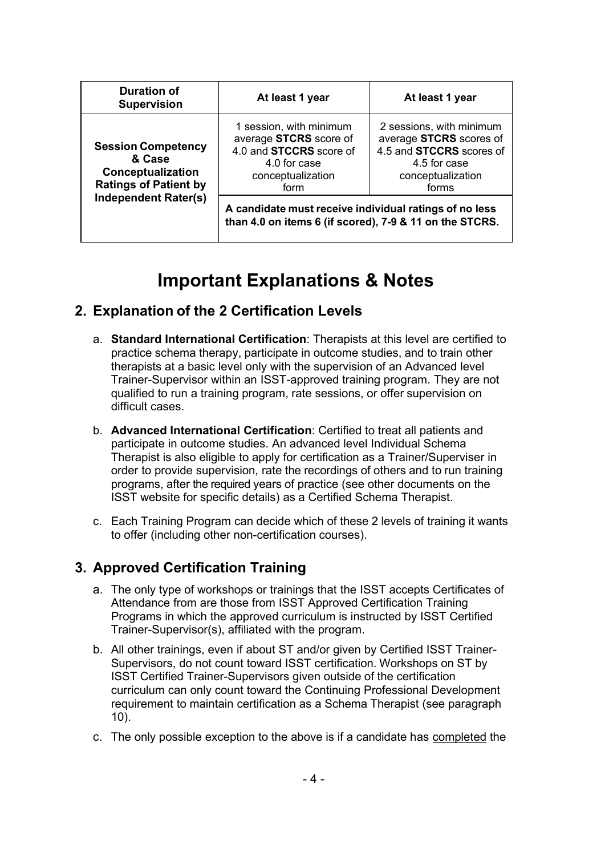| <b>Duration of</b><br><b>Supervision</b>                                                                                | At least 1 year                                                                                                                  | At least 1 year                                                                                                                      |  |
|-------------------------------------------------------------------------------------------------------------------------|----------------------------------------------------------------------------------------------------------------------------------|--------------------------------------------------------------------------------------------------------------------------------------|--|
| <b>Session Competency</b><br>& Case<br>Conceptualization<br><b>Ratings of Patient by</b><br><b>Independent Rater(s)</b> | 1 session, with minimum<br>average STCRS score of<br>4.0 and <b>STCCRS</b> score of<br>4.0 for case<br>conceptualization<br>form | 2 sessions, with minimum<br>average STCRS scores of<br>4.5 and <b>STCCRS</b> scores of<br>4.5 for case<br>conceptualization<br>forms |  |
|                                                                                                                         | A candidate must receive individual ratings of no less<br>than 4.0 on items 6 (if scored), 7-9 & 11 on the STCRS.                |                                                                                                                                      |  |

# **Important Explanations & Notes**

### **2. Explanation of the 2 Certification Levels**

- a. **Standard International Certification**: Therapists at this level are certified to practice schema therapy, participate in outcome studies, and to train other therapists at a basic level only with the supervision of an Advanced level Trainer-Supervisor within an ISST-approved training program. They are not qualified to run a training program, rate sessions, or offer supervision on difficult cases.
- b. **Advanced International Certification**: Certified to treat all patients and participate in outcome studies. An advanced level Individual Schema Therapist is also eligible to apply for certification as a Trainer/Superviser in order to provide supervision, rate the recordings of others and to run training programs, after the required years of practice (see other documents on the ISST website for specific details) as a Certified Schema Therapist.
- c. Each Training Program can decide which of these 2 levels of training it wants to offer (including other non-certification courses).

### **3. Approved Certification Training**

- a. The only type of workshops or trainings that the ISST accepts Certificates of Attendance from are those from ISST Approved Certification Training Programs in which the approved curriculum is instructed by ISST Certified Trainer-Supervisor(s), affiliated with the program.
- b. All other trainings, even if about ST and/or given by Certified ISST Trainer-Supervisors, do not count toward ISST certification. Workshops on ST by ISST Certified Trainer-Supervisors given outside of the certification curriculum can only count toward the Continuing Professional Development requirement to maintain certification as a Schema Therapist (see paragraph 10).
- c. The only possible exception to the above is if a candidate has completed the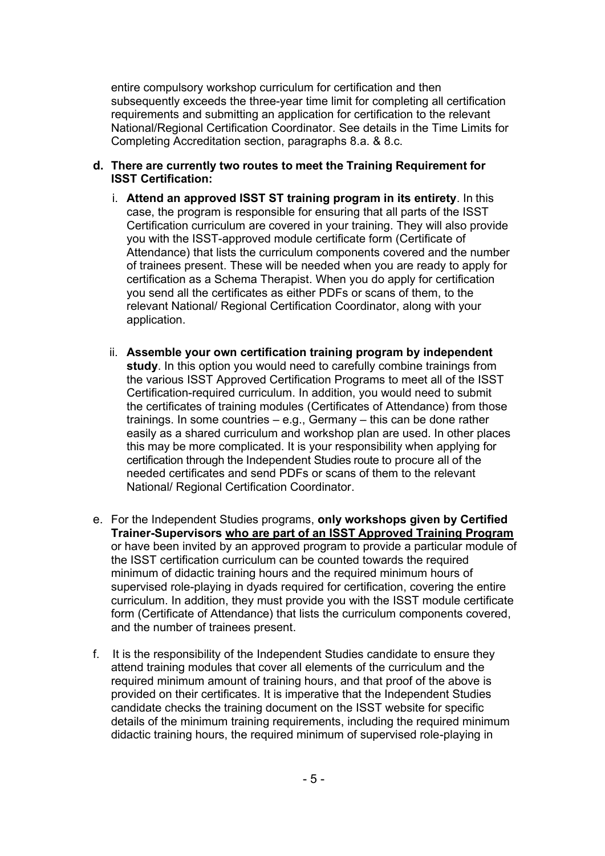entire compulsory workshop curriculum for certification and then subsequently exceeds the three-year time limit for completing all certification requirements and submitting an application for certification to the relevant National/Regional Certification Coordinator. See details in the Time Limits for Completing Accreditation section, paragraphs 8.a. & 8.c.

- **d. There are currently two routes to meet the Training Requirement for ISST Certification:**
	- i. **Attend an approved ISST ST training program in its entirety**. In this case, the program is responsible for ensuring that all parts of the ISST Certification curriculum are covered in your training. They will also provide you with the ISST-approved module certificate form (Certificate of Attendance) that lists the curriculum components covered and the number of trainees present. These will be needed when you are ready to apply for certification as a Schema Therapist. When you do apply for certification you send all the certificates as either PDFs or scans of them, to the relevant National/ Regional Certification Coordinator, along with your application.
	- ii. **Assemble your own certification training program by independent study**. In this option you would need to carefully combine trainings from the various ISST Approved Certification Programs to meet all of the ISST Certification-required curriculum. In addition, you would need to submit the certificates of training modules (Certificates of Attendance) from those trainings. In some countries – e.g., Germany – this can be done rather easily as a shared curriculum and workshop plan are used. In other places this may be more complicated. It is your responsibility when applying for certification through the Independent Studies route to procure all of the needed certificates and send PDFs or scans of them to the relevant National/ Regional Certification Coordinator.
- e. For the Independent Studies programs, **only workshops given by Certified Trainer-Supervisors who are part of an ISST Approved Training Program** or have been invited by an approved program to provide a particular module of the ISST certification curriculum can be counted towards the required minimum of didactic training hours and the required minimum hours of supervised role-playing in dyads required for certification, covering the entire curriculum. In addition, they must provide you with the ISST module certificate form (Certificate of Attendance) that lists the curriculum components covered, and the number of trainees present.
- f. It is the responsibility of the Independent Studies candidate to ensure they attend training modules that cover all elements of the curriculum and the required minimum amount of training hours, and that proof of the above is provided on their certificates. It is imperative that the Independent Studies candidate checks the training document on the ISST website for specific details of the minimum training requirements, including the required minimum didactic training hours, the required minimum of supervised role-playing in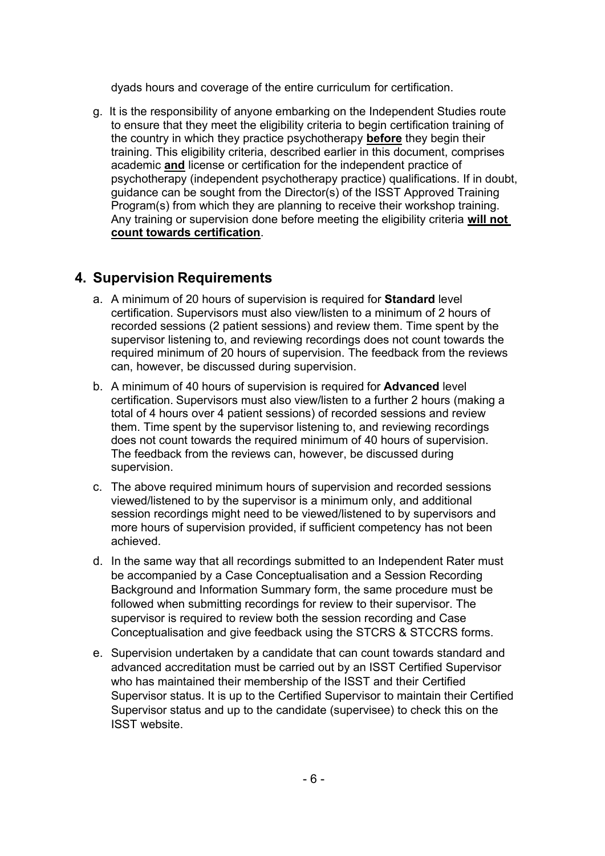dyads hours and coverage of the entire curriculum for certification.

g. It is the responsibility of anyone embarking on the Independent Studies route to ensure that they meet the eligibility criteria to begin certification training of the country in which they practice psychotherapy **before** they begin their training. This eligibility criteria, described earlier in this document, comprises academic **and** license or certification for the independent practice of psychotherapy (independent psychotherapy practice) qualifications. If in doubt, guidance can be sought from the Director(s) of the ISST Approved Training Program(s) from which they are planning to receive their workshop training. Any training or supervision done before meeting the eligibility criteria **will not count towards certification**.

### **4. Supervision Requirements**

- a. A minimum of 20 hours of supervision is required for **Standard** level certification. Supervisors must also view/listen to a minimum of 2 hours of recorded sessions (2 patient sessions) and review them. Time spent by the supervisor listening to, and reviewing recordings does not count towards the required minimum of 20 hours of supervision. The feedback from the reviews can, however, be discussed during supervision.
- b. A minimum of 40 hours of supervision is required for **Advanced** level certification. Supervisors must also view/listen to a further 2 hours (making a total of 4 hours over 4 patient sessions) of recorded sessions and review them. Time spent by the supervisor listening to, and reviewing recordings does not count towards the required minimum of 40 hours of supervision. The feedback from the reviews can, however, be discussed during supervision.
- c. The above required minimum hours of supervision and recorded sessions viewed/listened to by the supervisor is a minimum only, and additional session recordings might need to be viewed/listened to by supervisors and more hours of supervision provided, if sufficient competency has not been achieved.
- d. In the same way that all recordings submitted to an Independent Rater must be accompanied by a Case Conceptualisation and a Session Recording Background and Information Summary form, the same procedure must be followed when submitting recordings for review to their supervisor. The supervisor is required to review both the session recording and Case Conceptualisation and give feedback using the STCRS & STCCRS forms.
- e. Supervision undertaken by a candidate that can count towards standard and advanced accreditation must be carried out by an ISST Certified Supervisor who has maintained their membership of the ISST and their Certified Supervisor status. It is up to the Certified Supervisor to maintain their Certified Supervisor status and up to the candidate (supervisee) to check this on the ISST website.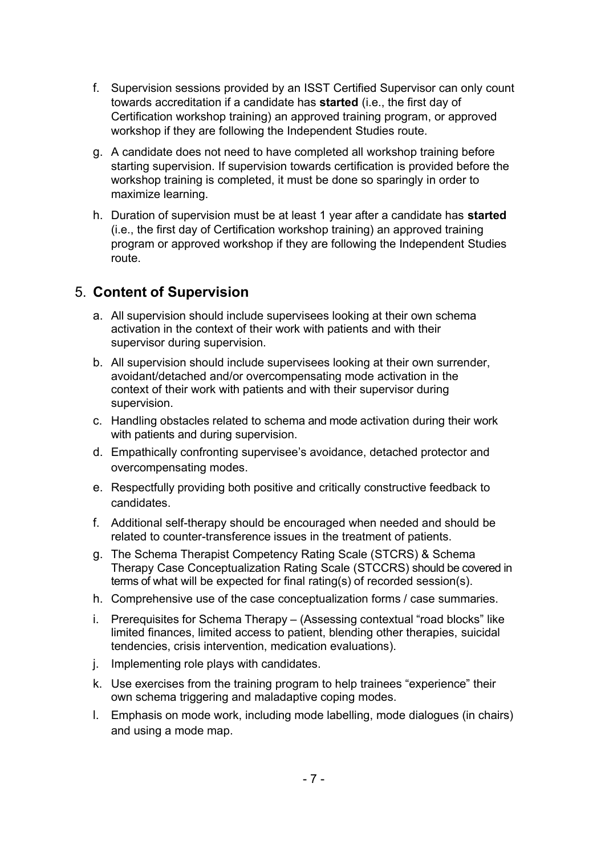- f. Supervision sessions provided by an ISST Certified Supervisor can only count towards accreditation if a candidate has **started** (i.e., the first day of Certification workshop training) an approved training program, or approved workshop if they are following the Independent Studies route.
- g. A candidate does not need to have completed all workshop training before starting supervision. If supervision towards certification is provided before the workshop training is completed, it must be done so sparingly in order to maximize learning.
- h. Duration of supervision must be at least 1 year after a candidate has **started** (i.e., the first day of Certification workshop training) an approved training program or approved workshop if they are following the Independent Studies route.

#### 5. **Content of Supervision**

- a. All supervision should include supervisees looking at their own schema activation in the context of their work with patients and with their supervisor during supervision.
- b. All supervision should include supervisees looking at their own surrender, avoidant/detached and/or overcompensating mode activation in the context of their work with patients and with their supervisor during supervision.
- c. Handling obstacles related to schema and mode activation during their work with patients and during supervision.
- d. Empathically confronting supervisee's avoidance, detached protector and overcompensating modes.
- e. Respectfully providing both positive and critically constructive feedback to candidates.
- f. Additional self-therapy should be encouraged when needed and should be related to counter-transference issues in the treatment of patients.
- g. The Schema Therapist Competency Rating Scale (STCRS) & Schema Therapy Case Conceptualization Rating Scale (STCCRS) should be covered in terms of what will be expected for final rating(s) of recorded session(s).
- h. Comprehensive use of the case conceptualization forms / case summaries.
- i. Prerequisites for Schema Therapy (Assessing contextual "road blocks" like limited finances, limited access to patient, blending other therapies, suicidal tendencies, crisis intervention, medication evaluations).
- j. Implementing role plays with candidates.
- k. Use exercises from the training program to help trainees "experience" their own schema triggering and maladaptive coping modes.
- l. Emphasis on mode work, including mode labelling, mode dialogues (in chairs) and using a mode map.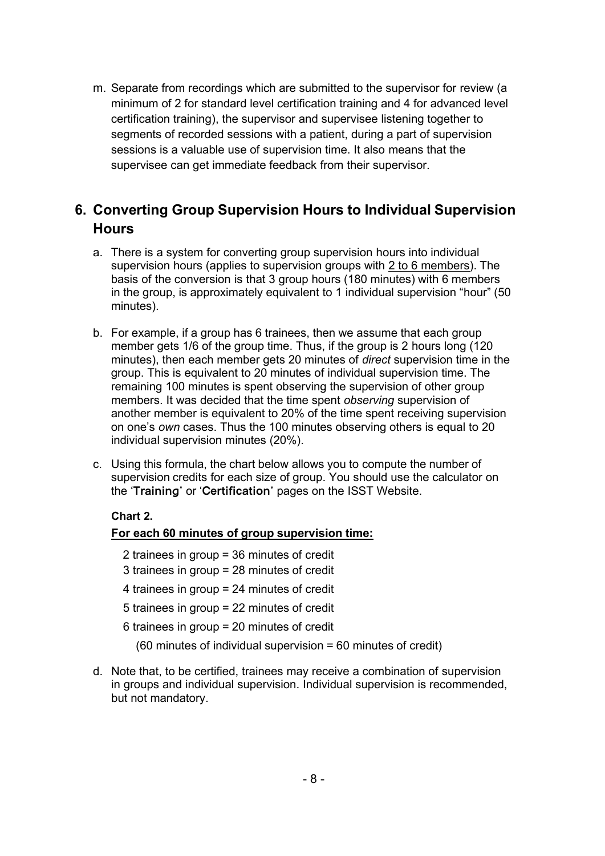m. Separate from recordings which are submitted to the supervisor for review (a minimum of 2 for standard level certification training and 4 for advanced level certification training), the supervisor and supervisee listening together to segments of recorded sessions with a patient, during a part of supervision sessions is a valuable use of supervision time. It also means that the supervisee can get immediate feedback from their supervisor.

### **6. Converting Group Supervision Hours to Individual Supervision Hours**

- a. There is a system for converting group supervision hours into individual supervision hours (applies to supervision groups with 2 to 6 members). The basis of the conversion is that 3 group hours (180 minutes) with 6 members in the group, is approximately equivalent to 1 individual supervision "hour" (50 minutes).
- b. For example, if a group has 6 trainees, then we assume that each group member gets 1/6 of the group time. Thus, if the group is 2 hours long (120 minutes), then each member gets 20 minutes of *direct* supervision time in the group. This is equivalent to 20 minutes of individual supervision time. The remaining 100 minutes is spent observing the supervision of other group members. It was decided that the time spent *observing* supervision of another member is equivalent to 20% of the time spent receiving supervision on one's *own* cases. Thus the 100 minutes observing others is equal to 20 individual supervision minutes (20%).
- c. Using this formula, the chart below allows you to compute the number of supervision credits for each size of group. You should use the calculator on the '**Training'** or '**Certification'** pages on the ISST Website.

#### **Chart 2.**

#### **For each 60 minutes of group supervision time:**

- 2 trainees in group = 36 minutes of credit
- 3 trainees in group = 28 minutes of credit
- 4 trainees in group = 24 minutes of credit
- 5 trainees in group = 22 minutes of credit
- 6 trainees in group = 20 minutes of credit
	- (60 minutes of individual supervision = 60 minutes of credit)
- d. Note that, to be certified, trainees may receive a combination of supervision in groups and individual supervision. Individual supervision is recommended, but not mandatory.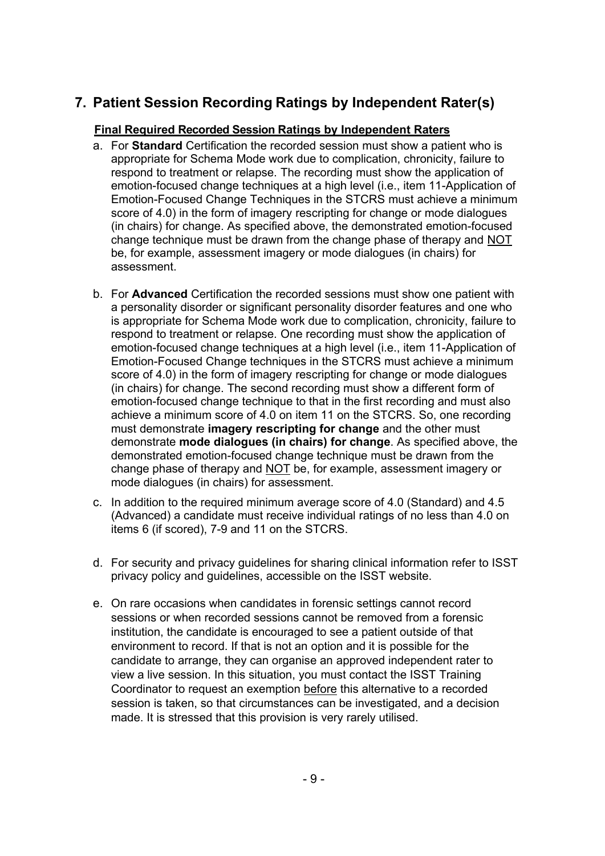# **7. Patient Session Recording Ratings by Independent Rater(s)**

#### **Final Required Recorded Session Ratings by Independent Raters**

- a. For **Standard** Certification the recorded session must show a patient who is appropriate for Schema Mode work due to complication, chronicity, failure to respond to treatment or relapse. The recording must show the application of emotion-focused change techniques at a high level (i.e., item 11-Application of Emotion-Focused Change Techniques in the STCRS must achieve a minimum score of 4.0) in the form of imagery rescripting for change or mode dialogues (in chairs) for change. As specified above, the demonstrated emotion-focused change technique must be drawn from the change phase of therapy and NOT be, for example, assessment imagery or mode dialogues (in chairs) for assessment.
- b. For **Advanced** Certification the recorded sessions must show one patient with a personality disorder or significant personality disorder features and one who is appropriate for Schema Mode work due to complication, chronicity, failure to respond to treatment or relapse. One recording must show the application of emotion-focused change techniques at a high level (i.e., item 11-Application of Emotion-Focused Change techniques in the STCRS must achieve a minimum score of 4.0) in the form of imagery rescripting for change or mode dialogues (in chairs) for change. The second recording must show a different form of emotion-focused change technique to that in the first recording and must also achieve a minimum score of 4.0 on item 11 on the STCRS. So, one recording must demonstrate **imagery rescripting for change** and the other must demonstrate **mode dialogues (in chairs) for change**. As specified above, the demonstrated emotion-focused change technique must be drawn from the change phase of therapy and NOT be, for example, assessment imagery or mode dialogues (in chairs) for assessment.
- c. In addition to the required minimum average score of 4.0 (Standard) and 4.5 (Advanced) a candidate must receive individual ratings of no less than 4.0 on items 6 (if scored), 7-9 and 11 on the STCRS.
- d. For security and privacy guidelines for sharing clinical information refer to ISST privacy policy and guidelines, accessible on the ISST website.
- e. On rare occasions when candidates in forensic settings cannot record sessions or when recorded sessions cannot be removed from a forensic institution, the candidate is encouraged to see a patient outside of that environment to record. If that is not an option and it is possible for the candidate to arrange, they can organise an approved independent rater to view a live session. In this situation, you must contact the ISST Training Coordinator to request an exemption before this alternative to a recorded session is taken, so that circumstances can be investigated, and a decision made. It is stressed that this provision is very rarely utilised.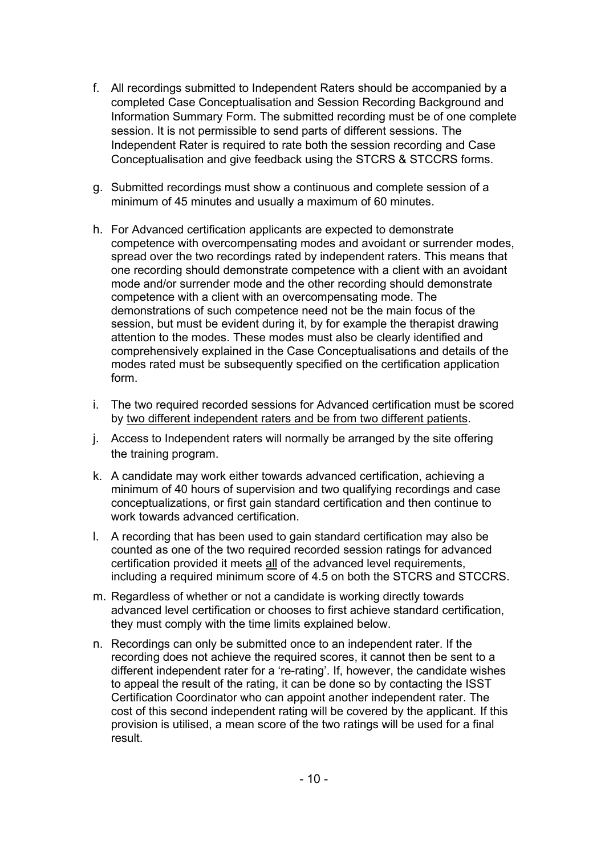- f. All recordings submitted to Independent Raters should be accompanied by a completed Case Conceptualisation and Session Recording Background and Information Summary Form. The submitted recording must be of one complete session. It is not permissible to send parts of different sessions. The Independent Rater is required to rate both the session recording and Case Conceptualisation and give feedback using the STCRS & STCCRS forms.
- g. Submitted recordings must show a continuous and complete session of a minimum of 45 minutes and usually a maximum of 60 minutes.
- h. For Advanced certification applicants are expected to demonstrate competence with overcompensating modes and avoidant or surrender modes, spread over the two recordings rated by independent raters. This means that one recording should demonstrate competence with a client with an avoidant mode and/or surrender mode and the other recording should demonstrate competence with a client with an overcompensating mode. The demonstrations of such competence need not be the main focus of the session, but must be evident during it, by for example the therapist drawing attention to the modes. These modes must also be clearly identified and comprehensively explained in the Case Conceptualisations and details of the modes rated must be subsequently specified on the certification application form.
- i. The two required recorded sessions for Advanced certification must be scored by two different independent raters and be from two different patients.
- j. Access to Independent raters will normally be arranged by the site offering the training program.
- k. A candidate may work either towards advanced certification, achieving a minimum of 40 hours of supervision and two qualifying recordings and case conceptualizations, or first gain standard certification and then continue to work towards advanced certification.
- l. A recording that has been used to gain standard certification may also be counted as one of the two required recorded session ratings for advanced certification provided it meets all of the advanced level requirements, including a required minimum score of 4.5 on both the STCRS and STCCRS.
- m. Regardless of whether or not a candidate is working directly towards advanced level certification or chooses to first achieve standard certification, they must comply with the time limits explained below.
- n. Recordings can only be submitted once to an independent rater. If the recording does not achieve the required scores, it cannot then be sent to a different independent rater for a 're-rating'. If, however, the candidate wishes to appeal the result of the rating, it can be done so by contacting the ISST Certification Coordinator who can appoint another independent rater. The cost of this second independent rating will be covered by the applicant. If this provision is utilised, a mean score of the two ratings will be used for a final result.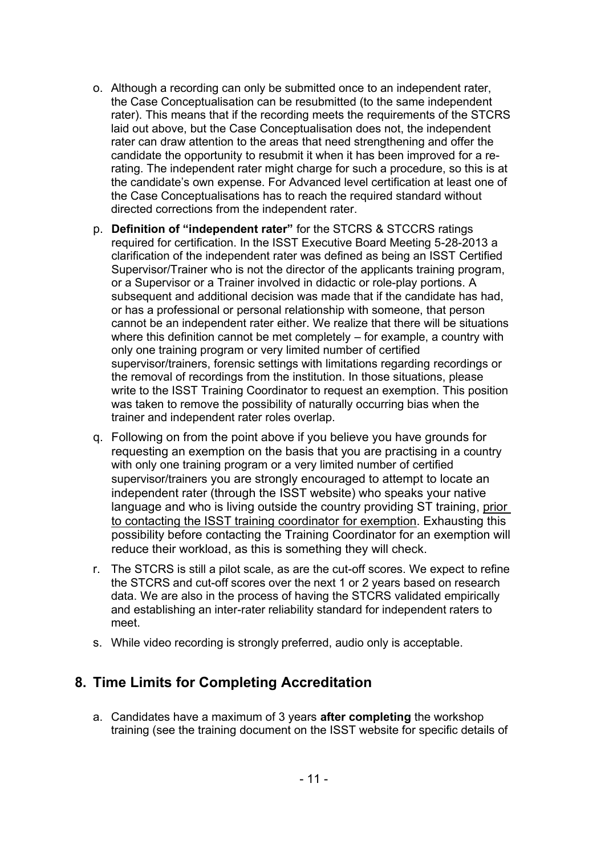- o. Although a recording can only be submitted once to an independent rater, the Case Conceptualisation can be resubmitted (to the same independent rater). This means that if the recording meets the requirements of the STCRS laid out above, but the Case Conceptualisation does not, the independent rater can draw attention to the areas that need strengthening and offer the candidate the opportunity to resubmit it when it has been improved for a rerating. The independent rater might charge for such a procedure, so this is at the candidate's own expense. For Advanced level certification at least one of the Case Conceptualisations has to reach the required standard without directed corrections from the independent rater.
- p. **Definition of "independent rater"** for the STCRS & STCCRS ratings required for certification. In the ISST Executive Board Meeting 5-28-2013 a clarification of the independent rater was defined as being an ISST Certified Supervisor/Trainer who is not the director of the applicants training program, or a Supervisor or a Trainer involved in didactic or role-play portions. A subsequent and additional decision was made that if the candidate has had, or has a professional or personal relationship with someone, that person cannot be an independent rater either. We realize that there will be situations where this definition cannot be met completely – for example, a country with only one training program or very limited number of certified supervisor/trainers, forensic settings with limitations regarding recordings or the removal of recordings from the institution. In those situations, please write to the ISST Training Coordinator to request an exemption. This position was taken to remove the possibility of naturally occurring bias when the trainer and independent rater roles overlap.
- q. Following on from the point above if you believe you have grounds for requesting an exemption on the basis that you are practising in a country with only one training program or a very limited number of certified supervisor/trainers you are strongly encouraged to attempt to locate an independent rater (through the ISST website) who speaks your native language and who is living outside the country providing ST training, prior to contacting the ISST training coordinator for exemption. Exhausting this possibility before contacting the Training Coordinator for an exemption will reduce their workload, as this is something they will check.
- r. The STCRS is still a pilot scale, as are the cut-off scores. We expect to refine the STCRS and cut-off scores over the next 1 or 2 years based on research data. We are also in the process of having the STCRS validated empirically and establishing an inter-rater reliability standard for independent raters to meet.
- s. While video recording is strongly preferred, audio only is acceptable.

#### **8. Time Limits for Completing Accreditation**

a. Candidates have a maximum of 3 years **after completing** the workshop training (see the training document on the ISST website for specific details of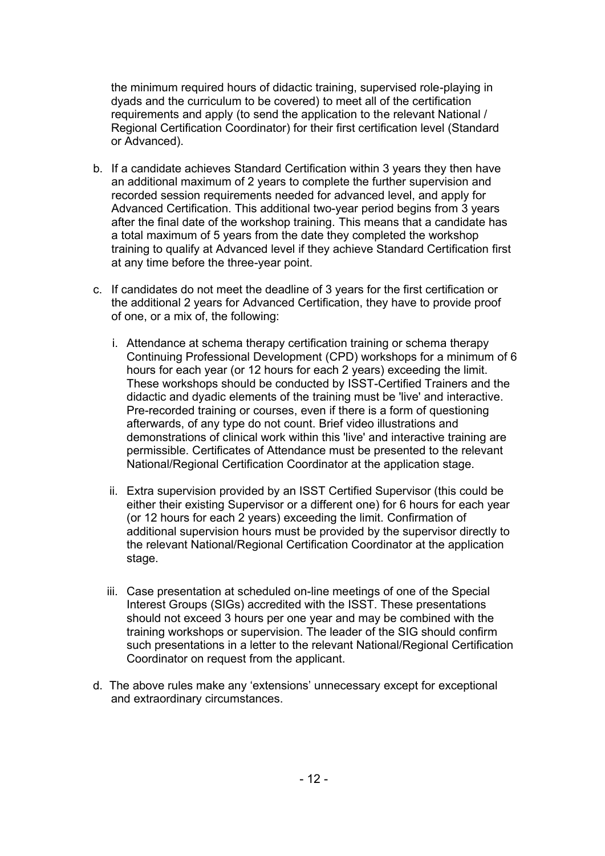the minimum required hours of didactic training, supervised role-playing in dyads and the curriculum to be covered) to meet all of the certification requirements and apply (to send the application to the relevant National / Regional Certification Coordinator) for their first certification level (Standard or Advanced).

- b. If a candidate achieves Standard Certification within 3 years they then have an additional maximum of 2 years to complete the further supervision and recorded session requirements needed for advanced level, and apply for Advanced Certification. This additional two-year period begins from 3 years after the final date of the workshop training. This means that a candidate has a total maximum of 5 years from the date they completed the workshop training to qualify at Advanced level if they achieve Standard Certification first at any time before the three-year point.
- c. If candidates do not meet the deadline of 3 years for the first certification or the additional 2 years for Advanced Certification, they have to provide proof of one, or a mix of, the following:
	- i. Attendance at schema therapy certification training or schema therapy Continuing Professional Development (CPD) workshops for a minimum of 6 hours for each year (or 12 hours for each 2 years) exceeding the limit. These workshops should be conducted by ISST-Certified Trainers and the didactic and dyadic elements of the training must be 'live' and interactive. Pre-recorded training or courses, even if there is a form of questioning afterwards, of any type do not count. Brief video illustrations and demonstrations of clinical work within this 'live' and interactive training are permissible. Certificates of Attendance must be presented to the relevant National/Regional Certification Coordinator at the application stage.
	- ii. Extra supervision provided by an ISST Certified Supervisor (this could be either their existing Supervisor or a different one) for 6 hours for each year (or 12 hours for each 2 years) exceeding the limit. Confirmation of additional supervision hours must be provided by the supervisor directly to the relevant National/Regional Certification Coordinator at the application stage.
	- iii. Case presentation at scheduled on-line meetings of one of the Special Interest Groups (SIGs) accredited with the ISST. These presentations should not exceed 3 hours per one year and may be combined with the training workshops or supervision. The leader of the SIG should confirm such presentations in a letter to the relevant National/Regional Certification Coordinator on request from the applicant.
- d. The above rules make any 'extensions' unnecessary except for exceptional and extraordinary circumstances.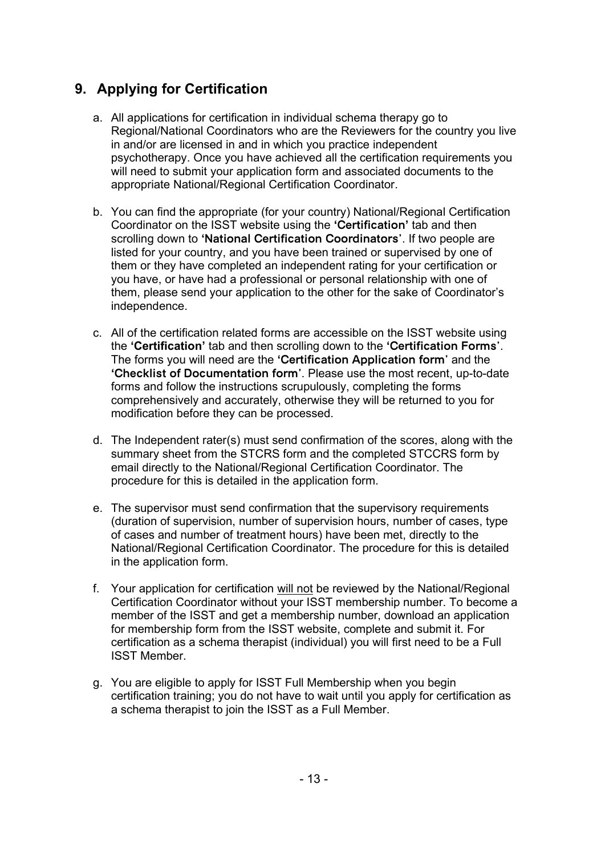# **9. Applying for Certification**

- a. All applications for certification in individual schema therapy go to Regional/National Coordinators who are the Reviewers for the country you live in and/or are licensed in and in which you practice independent psychotherapy. Once you have achieved all the certification requirements you will need to submit your application form and associated documents to the appropriate National/Regional Certification Coordinator.
- b. You can find the appropriate (for your country) National/Regional Certification Coordinator on the ISST website using the **'Certification'** tab and then scrolling down to **'National Certification Coordinators'**. If two people are listed for your country, and you have been trained or supervised by one of them or they have completed an independent rating for your certification or you have, or have had a professional or personal relationship with one of them, please send your application to the other for the sake of Coordinator's independence.
- c. All of the certification related forms are accessible on the ISST website using the **'Certification'** tab and then scrolling down to the **'Certification Forms'**. The forms you will need are the **'Certification Application form'** and the **'Checklist of Documentation form'**. Please use the most recent, up-to-date forms and follow the instructions scrupulously, completing the forms comprehensively and accurately, otherwise they will be returned to you for modification before they can be processed.
- d. The Independent rater(s) must send confirmation of the scores, along with the summary sheet from the STCRS form and the completed STCCRS form by email directly to the National/Regional Certification Coordinator. The procedure for this is detailed in the application form.
- e. The supervisor must send confirmation that the supervisory requirements (duration of supervision, number of supervision hours, number of cases, type of cases and number of treatment hours) have been met, directly to the National/Regional Certification Coordinator. The procedure for this is detailed in the application form.
- f. Your application for certification will not be reviewed by the National/Regional Certification Coordinator without your ISST membership number. To become a member of the ISST and get a membership number, download an application for membership form from the ISST website, complete and submit it. For certification as a schema therapist (individual) you will first need to be a Full ISST Member.
- g. You are eligible to apply for ISST Full Membership when you begin certification training; you do not have to wait until you apply for certification as a schema therapist to join the ISST as a Full Member.